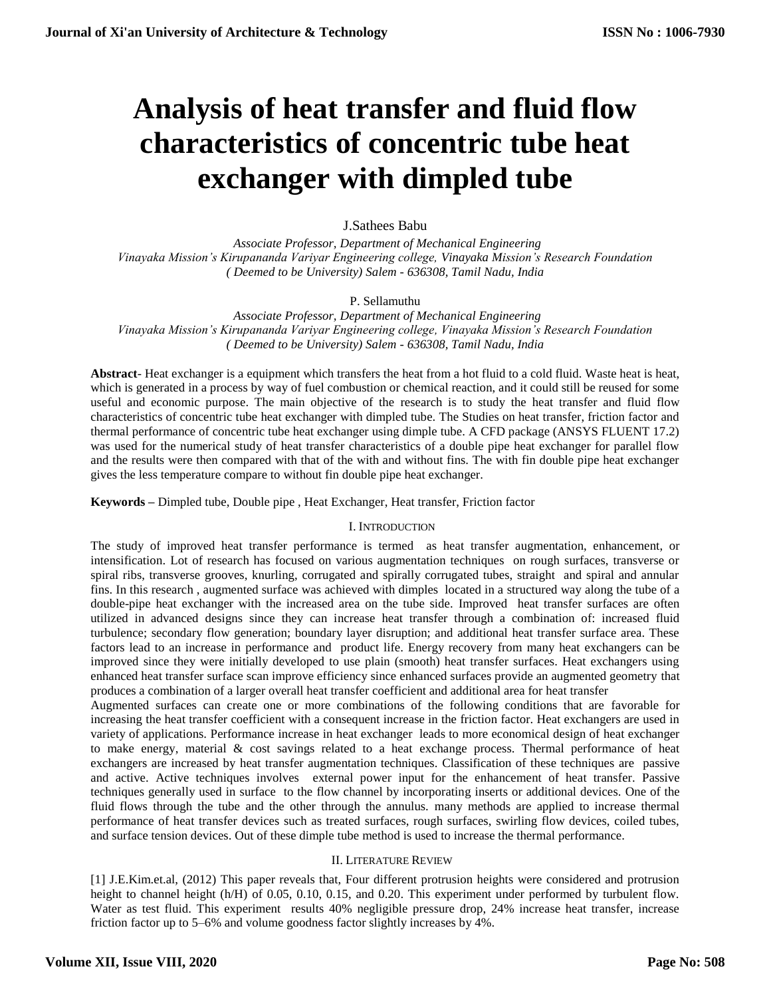# **Analysis of heat transfer and fluid flow characteristics of concentric tube heat exchanger with dimpled tube**

# J.Sathees Babu

 *Associate Professor, Department of Mechanical Engineering Vinayaka Mission's Kirupananda Variyar Engineering college, Vinayaka Mission's Research Foundation ( Deemed to be University) Salem - 636308, Tamil Nadu, India*

## P. Sellamuthu

 *Associate Professor, Department of Mechanical Engineering Vinayaka Mission's Kirupananda Variyar Engineering college, Vinayaka Mission's Research Foundation ( Deemed to be University) Salem - 636308, Tamil Nadu, India*

**Abstract**- Heat exchanger is a equipment which transfers the heat from a hot fluid to a cold fluid. Waste heat is heat, which is generated in a process by way of fuel combustion or chemical reaction, and it could still be reused for some useful and economic purpose. The main objective of the research is to study the heat transfer and fluid flow characteristics of concentric tube heat exchanger with dimpled tube. The Studies on heat transfer, friction factor and thermal performance of concentric tube heat exchanger using dimple tube. A CFD package (ANSYS FLUENT 17.2) was used for the numerical study of heat transfer characteristics of a double pipe heat exchanger for parallel flow and the results were then compared with that of the with and without fins. The with fin double pipe heat exchanger gives the less temperature compare to without fin double pipe heat exchanger.

**Keywords –** Dimpled tube, Double pipe , Heat Exchanger, Heat transfer, Friction factor

## I. INTRODUCTION

The study of improved heat transfer performance is termed as heat transfer augmentation, enhancement, or intensification. Lot of research has focused on various augmentation techniques on rough surfaces, transverse or spiral ribs, transverse grooves, knurling, corrugated and spirally corrugated tubes, straight and spiral and annular fins. In this research , augmented surface was achieved with dimples located in a structured way along the tube of a double-pipe heat exchanger with the increased area on the tube side. Improved heat transfer surfaces are often utilized in advanced designs since they can increase heat transfer through a combination of: increased fluid turbulence; secondary flow generation; boundary layer disruption; and additional heat transfer surface area. These factors lead to an increase in performance and product life. Energy recovery from many heat exchangers can be improved since they were initially developed to use plain (smooth) heat transfer surfaces. Heat exchangers using enhanced heat transfer surface scan improve efficiency since enhanced surfaces provide an augmented geometry that produces a combination of a larger overall heat transfer coefficient and additional area for heat transfer

Augmented surfaces can create one or more combinations of the following conditions that are favorable for increasing the heat transfer coefficient with a consequent increase in the friction factor. Heat exchangers are used in variety of applications. Performance increase in heat exchanger leads to more economical design of heat exchanger to make energy, material & cost savings related to a heat exchange process. Thermal performance of heat exchangers are increased by heat transfer augmentation techniques. Classification of these techniques are passive and active. Active techniques involves external power input for the enhancement of heat transfer. Passive techniques generally used in surface to the flow channel by incorporating inserts or additional devices. One of the fluid flows through the tube and the other through the annulus. many methods are applied to increase thermal performance of heat transfer devices such as treated surfaces, rough surfaces, swirling flow devices, coiled tubes, and surface tension devices. Out of these dimple tube method is used to increase the thermal performance.

## II. LITERATURE REVIEW

[1] J.E.Kim.et.al, (2012) This paper reveals that, Four different protrusion heights were considered and protrusion height to channel height (h/H) of 0.05, 0.10, 0.15, and 0.20. This experiment under performed by turbulent flow. Water as test fluid. This experiment results 40% negligible pressure drop, 24% increase heat transfer, increase friction factor up to 5–6% and volume goodness factor slightly increases by 4%.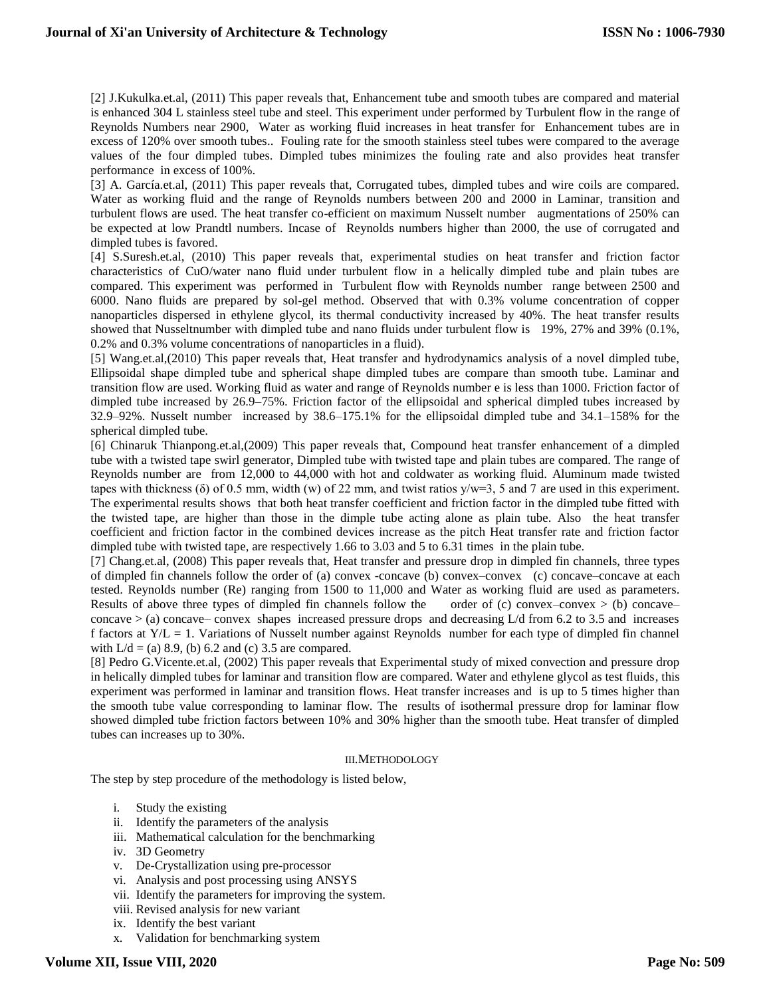[2] J.Kukulka.et.al, (2011) This paper reveals that, Enhancement tube and smooth tubes are compared and material is enhanced 304 L stainless steel tube and steel. This experiment under performed by Turbulent flow in the range of Reynolds Numbers near 2900, Water as working fluid increases in heat transfer for Enhancement tubes are in excess of 120% over smooth tubes.. Fouling rate for the smooth stainless steel tubes were compared to the average values of the four dimpled tubes. Dimpled tubes minimizes the fouling rate and also provides heat transfer performance in excess of 100%.

[3] A. García.et.al, (2011) This paper reveals that, Corrugated tubes, dimpled tubes and wire coils are compared. Water as working fluid and the range of Reynolds numbers between 200 and 2000 in Laminar, transition and turbulent flows are used. The heat transfer co-efficient on maximum Nusselt number augmentations of 250% can be expected at low Prandtl numbers. Incase of Reynolds numbers higher than 2000, the use of corrugated and dimpled tubes is favored.

[4] S.Suresh.et.al, (2010) This paper reveals that, experimental studies on heat transfer and friction factor characteristics of CuO/water nano fluid under turbulent flow in a helically dimpled tube and plain tubes are compared. This experiment was performed in Turbulent flow with Reynolds number range between 2500 and 6000. Nano fluids are prepared by sol-gel method. Observed that with 0.3% volume concentration of copper nanoparticles dispersed in ethylene glycol, its thermal conductivity increased by 40%. The heat transfer results showed that Nusseltnumber with dimpled tube and nano fluids under turbulent flow is 19%, 27% and 39% (0.1%, 0.2% and 0.3% volume concentrations of nanoparticles in a fluid).

[5] Wang.et.al,(2010) This paper reveals that, Heat transfer and hydrodynamics analysis of a novel dimpled tube, Ellipsoidal shape dimpled tube and spherical shape dimpled tubes are compare than smooth tube. Laminar and transition flow are used. Working fluid as water and range of Reynolds number e is less than 1000. Friction factor of dimpled tube increased by 26.9–75%. Friction factor of the ellipsoidal and spherical dimpled tubes increased by 32.9–92%. Nusselt number increased by 38.6–175.1% for the ellipsoidal dimpled tube and 34.1–158% for the spherical dimpled tube.

[6] Chinaruk Thianpong.et.al,(2009) This paper reveals that, Compound heat transfer enhancement of a dimpled tube with a twisted tape swirl generator, Dimpled tube with twisted tape and plain tubes are compared. The range of Reynolds number are from 12,000 to 44,000 with hot and coldwater as working fluid. Aluminum made twisted tapes with thickness ( $\delta$ ) of 0.5 mm, width (w) of 22 mm, and twist ratios  $y/w=3$ , 5 and 7 are used in this experiment. The experimental results shows that both heat transfer coefficient and friction factor in the dimpled tube fitted with the twisted tape, are higher than those in the dimple tube acting alone as plain tube. Also the heat transfer coefficient and friction factor in the combined devices increase as the pitch Heat transfer rate and friction factor dimpled tube with twisted tape, are respectively 1.66 to 3.03 and 5 to 6.31 times in the plain tube.

[7] Chang.et.al, (2008) This paper reveals that, Heat transfer and pressure drop in dimpled fin channels, three types of dimpled fin channels follow the order of (a) convex -concave (b) convex–convex (c) concave–concave at each tested. Reynolds number (Re) ranging from 1500 to 11,000 and Water as working fluid are used as parameters. Results of above three types of dimpled fin channels follow the order of (c) convex–convex  $>$  (b) concave– concave > (a) concave– convex shapes increased pressure drops and decreasing L/d from 6.2 to 3.5 and increases f factors at  $Y/L = 1$ . Variations of Nusselt number against Reynolds number for each type of dimpled fin channel with  $L/d = (a) 8.9$ , (b) 6.2 and (c) 3.5 are compared.

[8] Pedro G.Vicente.et.al, (2002) This paper reveals that Experimental study of mixed convection and pressure drop in helically dimpled tubes for laminar and transition flow are compared. Water and ethylene glycol as test fluids, this experiment was performed in laminar and transition flows. Heat transfer increases and is up to 5 times higher than the smooth tube value corresponding to laminar flow. The results of isothermal pressure drop for laminar flow showed dimpled tube friction factors between 10% and 30% higher than the smooth tube. Heat transfer of dimpled tubes can increases up to 30%.

## III.METHODOLOGY

The step by step procedure of the methodology is listed below,

- i. Study the existing
- ii. Identify the parameters of the analysis
- iii. Mathematical calculation for the benchmarking
- iv. 3D Geometry
- v. De-Crystallization using pre-processor
- vi. Analysis and post processing using ANSYS
- vii. Identify the parameters for improving the system.
- viii. Revised analysis for new variant
- ix. Identify the best variant
- x. Validation for benchmarking system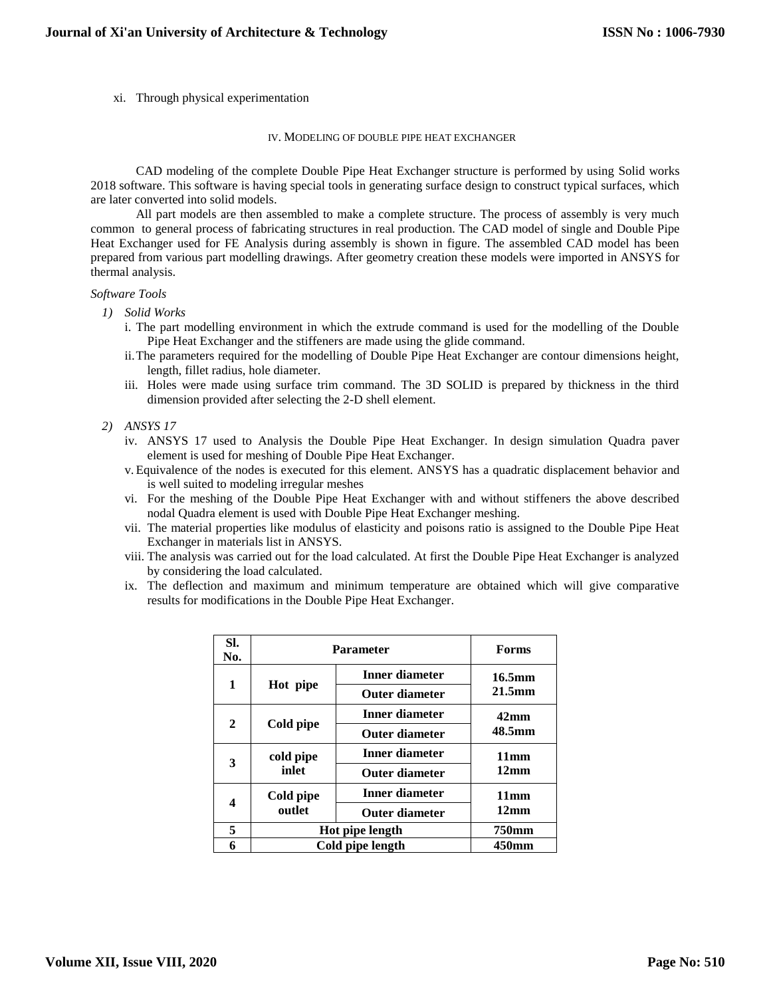xi. Through physical experimentation

#### IV. MODELING OF DOUBLE PIPE HEAT EXCHANGER

CAD modeling of the complete Double Pipe Heat Exchanger structure is performed by using Solid works 2018 software. This software is having special tools in generating surface design to construct typical surfaces, which are later converted into solid models.

All part models are then assembled to make a complete structure. The process of assembly is very much common to general process of fabricating structures in real production. The CAD model of single and Double Pipe Heat Exchanger used for FE Analysis during assembly is shown in figure. The assembled CAD model has been prepared from various part modelling drawings. After geometry creation these models were imported in ANSYS for thermal analysis.

## *Software Tools*

- *1) Solid Works*
	- i. The part modelling environment in which the extrude command is used for the modelling of the Double Pipe Heat Exchanger and the stiffeners are made using the glide command.
	- ii.The parameters required for the modelling of Double Pipe Heat Exchanger are contour dimensions height, length, fillet radius, hole diameter.
	- iii. Holes were made using surface trim command. The 3D SOLID is prepared by thickness in the third dimension provided after selecting the 2-D shell element.
- *2) ANSYS 17*
	- iv. ANSYS 17 used to Analysis the Double Pipe Heat Exchanger. In design simulation Quadra paver element is used for meshing of Double Pipe Heat Exchanger.
	- v. Equivalence of the nodes is executed for this element. ANSYS has a quadratic displacement behavior and is well suited to modeling irregular meshes
	- vi. For the meshing of the Double Pipe Heat Exchanger with and without stiffeners the above described nodal Quadra element is used with Double Pipe Heat Exchanger meshing.
	- vii. The material properties like modulus of elasticity and poisons ratio is assigned to the Double Pipe Heat Exchanger in materials list in ANSYS.
	- viii. The analysis was carried out for the load calculated. At first the Double Pipe Heat Exchanger is analyzed by considering the load calculated.
	- ix. The deflection and maximum and minimum temperature are obtained which will give comparative results for modifications in the Double Pipe Heat Exchanger.

| SI.<br>No. | Parameter           | <b>Forms</b>          |                  |
|------------|---------------------|-----------------------|------------------|
| 1          | Hot pipe            | <b>Inner diameter</b> | 16.5mm           |
|            |                     | <b>Outer diameter</b> | $21.5$ mm        |
| 2          | Cold pipe           | Inner diameter        | 42 <sub>mm</sub> |
|            |                     | <b>Outer diameter</b> | 48.5mm           |
|            | cold pipe<br>inlet  | Inner diameter        | 11mm             |
| 3          |                     | <b>Outer diameter</b> | 12mm             |
| 4          | Cold pipe<br>outlet | Inner diameter        | 11mm             |
|            |                     | <b>Outer diameter</b> | 12mm             |
| 5          | Hot pipe length     |                       | 750mm            |
| 6          | Cold pipe length    |                       | 450mm            |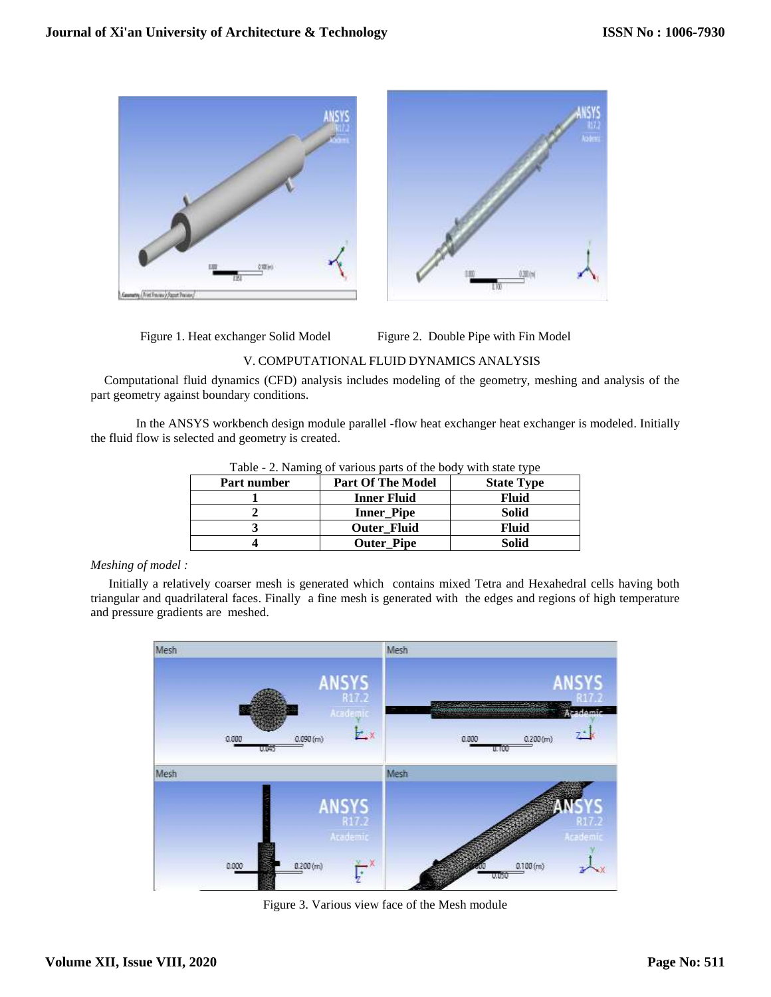

Figure 1. Heat exchanger Solid Model Figure 2. Double Pipe with Fin Model

## V. COMPUTATIONAL FLUID DYNAMICS ANALYSIS

Computational fluid dynamics (CFD) analysis includes modeling of the geometry, meshing and analysis of the part geometry against boundary conditions.

In the ANSYS workbench design module parallel -flow heat exchanger heat exchanger is modeled. Initially the fluid flow is selected and geometry is created.

| $1000$ $\mu$ , $10000$ $\mu$ various parts of the boay with state type |                   |  |  |  |
|------------------------------------------------------------------------|-------------------|--|--|--|
| <b>Part Of The Model</b>                                               | <b>State Type</b> |  |  |  |
| <b>Inner Fluid</b>                                                     | <b>Fluid</b>      |  |  |  |
| <b>Inner_Pipe</b>                                                      | Solid             |  |  |  |
| <b>Outer Fluid</b>                                                     | Fluid             |  |  |  |
| <b>Outer_Pipe</b>                                                      | <b>Solid</b>      |  |  |  |
|                                                                        |                   |  |  |  |

Table - 2. Naming of various parts of the body with state type

## *Meshing of model :*

Initially a relatively coarser mesh is generated which contains mixed Tetra and Hexahedral cells having both triangular and quadrilateral faces. Finally a fine mesh is generated with the edges and regions of high temperature and pressure gradients are meshed.



Figure 3. Various view face of the Mesh module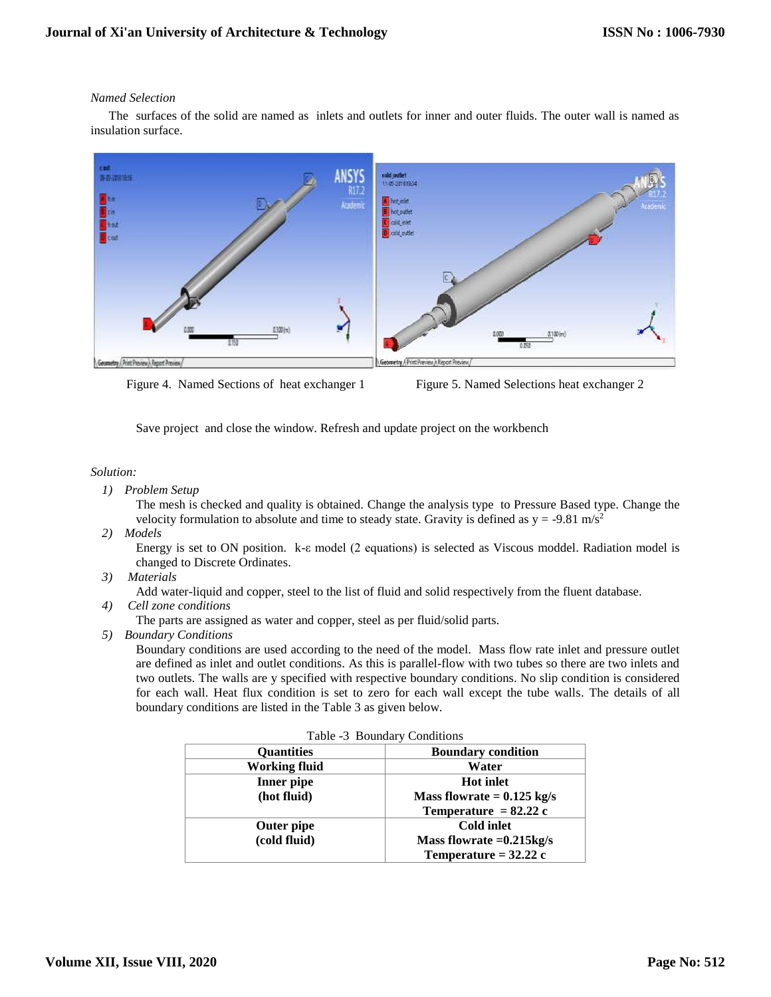## *Named Selection*

The surfaces of the solid are named as inlets and outlets for inner and outer fluids. The outer wall is named as insulation surface.



Figure 4. Named Sections of heat exchanger 1 Figure 5. Named Selections heat exchanger 2

Save project and close the window. Refresh and update project on the workbench

## *Solution:*

*1) Problem Setup* 

The mesh is checked and quality is obtained. Change the analysis type to Pressure Based type. Change the velocity formulation to absolute and time to steady state. Gravity is defined as  $y = -9.81$  m/s<sup>2</sup>

*2) Models* 

Energy is set to ON position. k-ε model (2 equations) is selected as Viscous moddel. Radiation model is changed to Discrete Ordinates.

*3) Materials* 

Add water-liquid and copper, steel to the list of fluid and solid respectively from the fluent database.

*4) Cell zone conditions* 

The parts are assigned as water and copper, steel as per fluid/solid parts.

*5) Boundary Conditions* 

Boundary conditions are used according to the need of the model. Mass flow rate inlet and pressure outlet are defined as inlet and outlet conditions. As this is parallel-flow with two tubes so there are two inlets and two outlets. The walls are y specified with respective boundary conditions. No slip condition is considered for each wall. Heat flux condition is set to zero for each wall except the tube walls. The details of all boundary conditions are listed in the Table 3 as given below.

| Table -3 Boundary Conditions |                                      |  |  |
|------------------------------|--------------------------------------|--|--|
| <b>Ouantities</b>            | <b>Boundary condition</b>            |  |  |
| <b>Working fluid</b>         | Water                                |  |  |
| Inner pipe                   | <b>Hot inlet</b>                     |  |  |
| (hot fluid)                  | Mass flowrate $= 0.125 \text{ kg/s}$ |  |  |
|                              | Temperature = $82.22$ c              |  |  |
| <b>Outer pipe</b>            | <b>Cold inlet</b>                    |  |  |
| (cold fluid)                 | Mass flowrate $=0.215$ kg/s          |  |  |
|                              | Temperature = $32.22$ c              |  |  |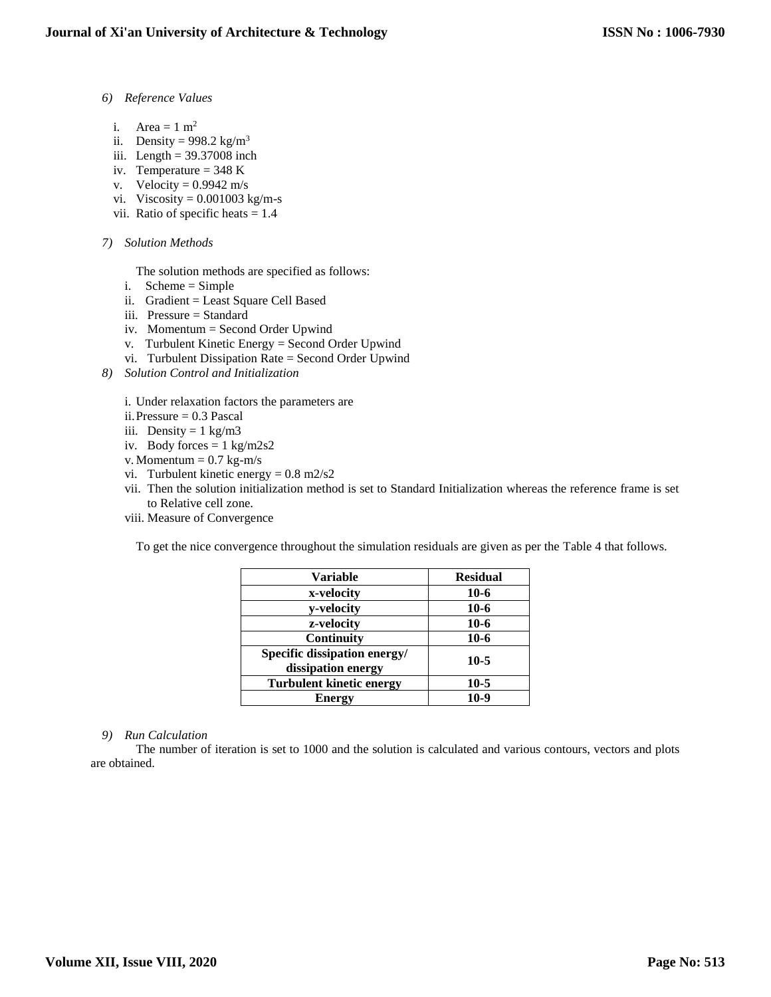- *6) Reference Values* 
	- i. Area  $= 1$  m<sup>2</sup>
	- ii. Density =  $998.2 \text{ kg/m}^3$
	- iii. Length  $= 39.37008$  inch
	- iv. Temperature =  $348$  K
	- v. Velocity =  $0.9942$  m/s
	- vi. Viscosity =  $0.001003$  kg/m-s
	- vii. Ratio of specific heats = 1.4
- *7) Solution Methods* 
	- The solution methods are specified as follows:
	- i. Scheme = Simple
	- ii. Gradient = Least Square Cell Based
	- iii. Pressure = Standard
	- iv. Momentum = Second Order Upwind
	- v. Turbulent Kinetic Energy = Second Order Upwind
	- vi. Turbulent Dissipation Rate = Second Order Upwind
- *8) Solution Control and Initialization* 
	- i. Under relaxation factors the parameters are
	- ii.Pressure = 0.3 Pascal
	- iii. Density =  $1 \text{ kg/m}$ 3
	- iv. Body forces  $= 1 \text{ kg/m} 2s2$
	- v. Momentum  $= 0.7$  kg-m/s
	- vi. Turbulent kinetic energy =  $0.8$  m $2$ /s $2$
	- vii. Then the solution initialization method is set to Standard Initialization whereas the reference frame is set to Relative cell zone.
	- viii. Measure of Convergence

To get the nice convergence throughout the simulation residuals are given as per the Table 4 that follows.

| <b>Variable</b>                                    | <b>Residual</b> |
|----------------------------------------------------|-----------------|
| x-velocity                                         | $10-6$          |
| y-velocity                                         | $10-6$          |
| z-velocity                                         | $10-6$          |
| <b>Continuity</b>                                  | $10-6$          |
| Specific dissipation energy/<br>dissipation energy | $10-5$          |
| <b>Turbulent kinetic energy</b>                    | $10-5$          |
| <b>Energy</b>                                      | $10-9$          |

## *9) Run Calculation*

The number of iteration is set to 1000 and the solution is calculated and various contours, vectors and plots are obtained.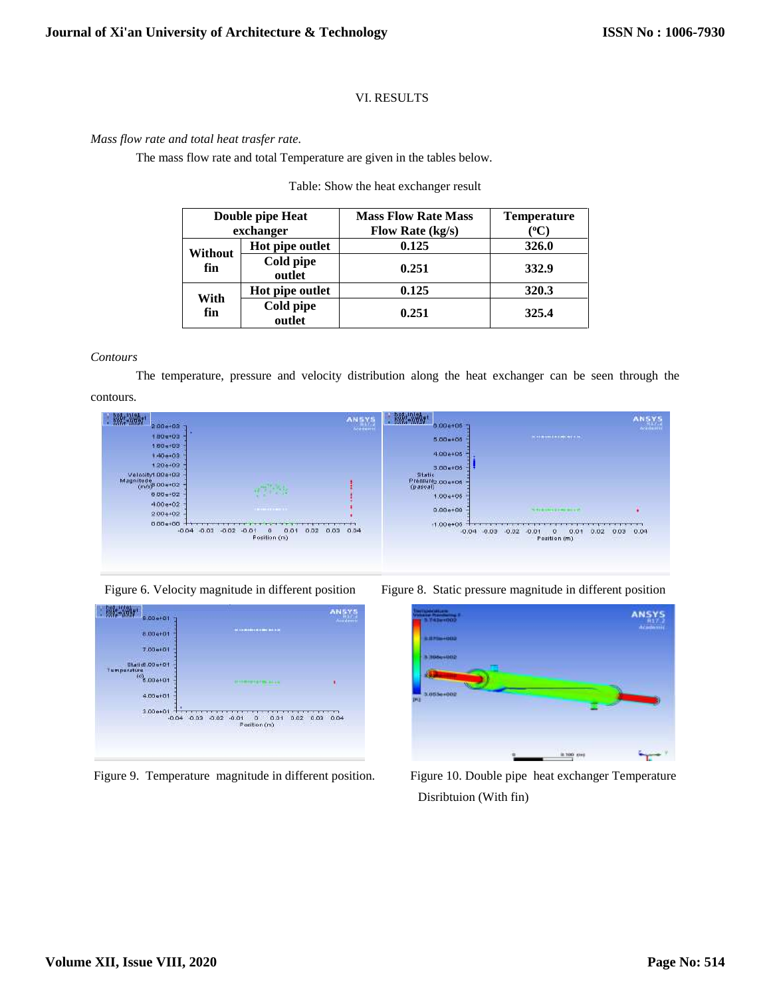# VI. RESULTS

## *Mass flow rate and total heat trasfer rate.*

The mass flow rate and total Temperature are given in the tables below.

## Table: Show the heat exchanger result

| Double pipe Heat<br>exchanger |                     | <b>Mass Flow Rate Mass</b><br>Flow Rate (kg/s) | <b>Temperature</b><br>$^{\rm o}\!{\rm C}$ |
|-------------------------------|---------------------|------------------------------------------------|-------------------------------------------|
| Without<br>fin                | Hot pipe outlet     | 0.125                                          | 326.0                                     |
|                               | Cold pipe<br>outlet | 0.251                                          | 332.9                                     |
| With<br>fin                   | Hot pipe outlet     | 0.125                                          | 320.3                                     |
|                               | Cold pipe<br>outlet | 0.251                                          | 325.4                                     |

#### *Contours*

The temperature, pressure and velocity distribution along the heat exchanger can be seen through the



| 燃烧<br>$2.00+03$                       |                                                                 | <b>ANSYS</b><br>$A = 1$ | <b>BRA</b> - MMA<br>0.00a+05           |                                                             |      |
|---------------------------------------|-----------------------------------------------------------------|-------------------------|----------------------------------------|-------------------------------------------------------------|------|
| 1.80 e+03                             |                                                                 |                         | $5.00 + 06$                            | <b>WASHINGTON NEWS</b>                                      |      |
| $1.60 + 03$                           |                                                                 |                         |                                        |                                                             |      |
| $1,40+02$                             |                                                                 |                         | $4.00 + 05$                            |                                                             |      |
| $1,20e+02$                            |                                                                 |                         | $3.00 + 06$                            |                                                             |      |
| CO+400.hytiootex.<br>Magnitude 00+102 |                                                                 |                         | Statio<br>Pressurez.004105<br>(pasoal) |                                                             |      |
| $0.00+02$                             | m                                                               |                         | $1.00e + 05$                           |                                                             |      |
| $4.00 + 02$                           |                                                                 |                         |                                        |                                                             |      |
| $2.00 + 02$                           | <b><i>AMERICAN AV</i></b>                                       |                         | $0.00 + 00$                            | <b>STARTHERMAN WILLY</b>                                    |      |
| $0.00 + 00$<br>$-0.04$                | $-0.03 - 0.02$<br>0.01<br>$-0.01$<br>0.02<br>α.<br>Position (m) | 0.03<br>0.04            | $-1.00+05$<br>$-0.04 - 0.03$           | $-0.02 - 0.01$<br>0.01<br>0.02<br>0.03<br>σ<br>Position (m) | 0.04 |





Figure 9. Temperature magnitude in different position. Figure 10. Double pipe heat exchanger Temperature





Disribtuion (With fin)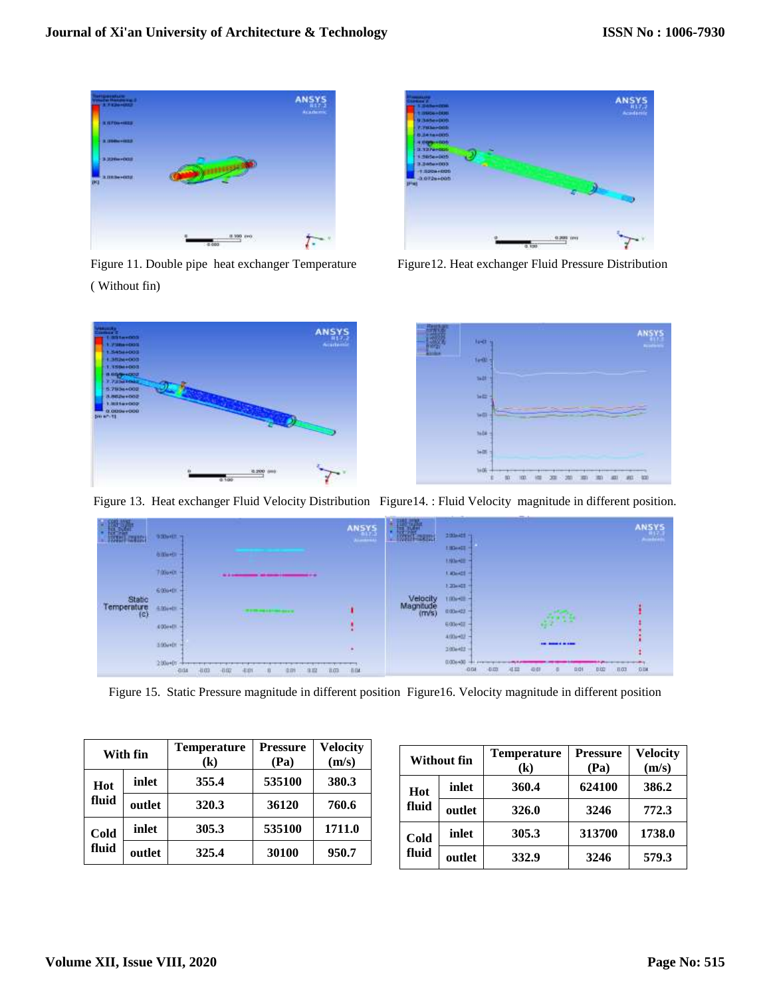

Figure 11. Double pipe heat exchanger Temperature Figure12. Heat exchanger Fluid Pressure Distribution ( Without fin)







Figure 13. Heat exchanger Fluid Velocity Distribution Figure14. : Fluid Velocity magnitude in different position.



Figure 15. Static Pressure magnitude in different position Figure16. Velocity magnitude in different position

| With fin      |        | <b>Temperature</b><br>(k) | <b>Pressure</b><br>(Pa) | <b>Velocity</b><br>(m/s) |
|---------------|--------|---------------------------|-------------------------|--------------------------|
| Hot<br>fluid  | inlet  | 355.4                     | 535100                  | 380.3                    |
|               | outlet | 320.3                     | 36120                   | 760.6                    |
| Cold<br>fluid | inlet  | 305.3                     | 535100                  | 1711.0                   |
|               | outlet | 325.4                     | 30100                   | 950.7                    |

| Without fin   |        | <b>Temperature</b><br>(k) | <b>Pressure</b><br>(Pa) | <b>Velocity</b><br>(m/s) |
|---------------|--------|---------------------------|-------------------------|--------------------------|
| Hot<br>fluid  | inlet  | 360.4                     | 624100                  | 386.2                    |
|               | outlet | 326.0                     | 3246                    | 772.3                    |
| Cold<br>fluid | inlet  | 305.3                     | 313700                  | 1738.0                   |
|               | outlet | 332.9                     | 3246                    | 579.3                    |